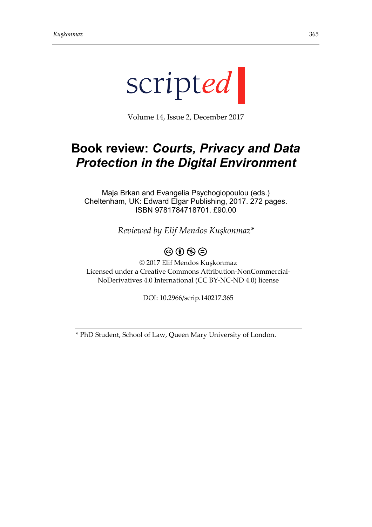

Volume 14, Issue 2, December 2017

## **Book review:** *Courts, Privacy and Data Protection in the Digital Environment*

Maja Brkan and Evangelia Psychogiopoulou (eds.) Cheltenham, UK: Edward Elgar Publishing, 2017. 272 pages. ISBN 9781784718701. £90.00

*Reviewed by Elif Mendos Kuşkonmaz\**

## $\circledcirc$   $\circledcirc$   $\circledcirc$

© 2017 Elif Mendos Kuşkonmaz Licensed under a Creative Commons Attribution-NonCommercial-NoDerivatives 4.0 International (CC BY-NC-ND 4.0) license

DOI: 10.2966/scrip.140217.365

\* PhD Student, School of Law, Queen Mary University of London.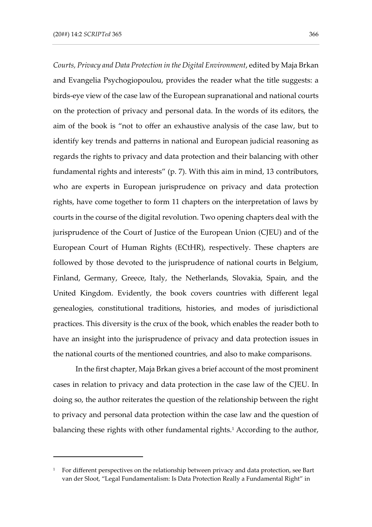-

*Courts, Privacy and Data Protection in the Digital Environment*, edited by Maja Brkan and Evangelia Psychogiopoulou, provides the reader what the title suggests: a birds-eye view of the case law of the European supranational and national courts on the protection of privacy and personal data. In the words of its editors, the aim of the book is "not to offer an exhaustive analysis of the case law, but to identify key trends and patterns in national and European judicial reasoning as regards the rights to privacy and data protection and their balancing with other fundamental rights and interests" (p. 7). With this aim in mind, 13 contributors, who are experts in European jurisprudence on privacy and data protection rights, have come together to form 11 chapters on the interpretation of laws by courts in the course of the digital revolution. Two opening chapters deal with the jurisprudence of the Court of Justice of the European Union (CJEU) and of the European Court of Human Rights (ECtHR), respectively. These chapters are followed by those devoted to the jurisprudence of national courts in Belgium, Finland, Germany, Greece, Italy, the Netherlands, Slovakia, Spain, and the United Kingdom. Evidently, the book covers countries with different legal genealogies, constitutional traditions, histories, and modes of jurisdictional practices. This diversity is the crux of the book, which enables the reader both to have an insight into the jurisprudence of privacy and data protection issues in the national courts of the mentioned countries, and also to make comparisons.

In the first chapter, Maja Brkan gives a brief account of the most prominent cases in relation to privacy and data protection in the case law of the CJEU. In doing so, the author reiterates the question of the relationship between the right to privacy and personal data protection within the case law and the question of balancing these rights with other fundamental rights.<sup>1</sup> According to the author,

<sup>&</sup>lt;sup>1</sup> For different perspectives on the relationship between privacy and data protection, see Bart van der Sloot, "Legal Fundamentalism: Is Data Protection Really a Fundamental Right" in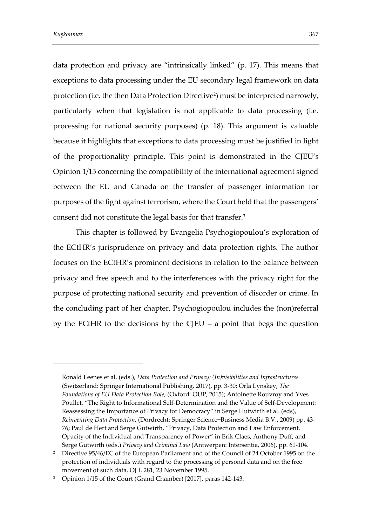-

data protection and privacy are "intrinsically linked" (p. 17). This means that exceptions to data processing under the EU secondary legal framework on data protection (i.e. the then Data Protection Directive<sup>2</sup>) must be interpreted narrowly, particularly when that legislation is not applicable to data processing (i.e. processing for national security purposes) (p. 18). This argument is valuable because it highlights that exceptions to data processing must be justified in light of the proportionality principle. This point is demonstrated in the CJEU's Opinion 1/15 concerning the compatibility of the international agreement signed between the EU and Canada on the transfer of passenger information for purposes of the fight against terrorism, where the Court held that the passengers' consent did not constitute the legal basis for that transfer.<sup>3</sup>

This chapter is followed by Evangelia Psychogiopoulou's exploration of the ECtHR's jurisprudence on privacy and data protection rights. The author focuses on the ECtHR's prominent decisions in relation to the balance between privacy and free speech and to the interferences with the privacy right for the purpose of protecting national security and prevention of disorder or crime. In the concluding part of her chapter, Psychogiopoulou includes the (non)referral by the ECtHR to the decisions by the CJEU – a point that begs the question

Ronald Leenes et al. (eds.), *Data Protection and Privacy: (In)visibilities and Infrastructures* (Switzerland: Springer International Publishing, 2017), pp. 3-30; Orla Lynskey, *The Foundations of EU Data Protection Role*, (Oxford: OUP, 2015); Antoinette Rouvroy and Yves Poullet, "The Right to Informational Self-Determination and the Value of Self-Development: Reassessing the Importance of Privacy for Democracy" in Serge Hutwirth et al. (eds), *Reinventing Data Protection*, (Dordrecht: Springer Science+Business Media B.V., 2009) pp. 43- 76; Paul de Hert and Serge Gutwirth, "Privacy, Data Protection and Law Enforcement. Opacity of the Individual and Transparency of Power" in Erik Claes, Anthony Duff, and Serge Gutwirth (eds.) *Privacy and Criminal Law* (Antwerpen: Intersentia, 2006), pp. 61-104.

<sup>&</sup>lt;sup>2</sup> Directive 95/46/EC of the European Parliament and of the Council of 24 October 1995 on the protection of individuals with regard to the processing of personal data and on the free movement of such data, OJ L 281, 23 November 1995.

<sup>3</sup> Opinion 1/15 of the Court (Grand Chamber) [2017], paras 142-143.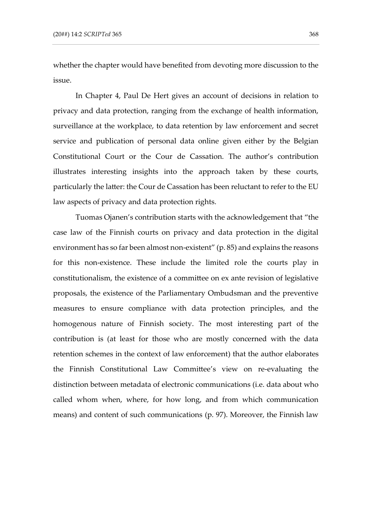whether the chapter would have benefited from devoting more discussion to the issue.

In Chapter 4, Paul De Hert gives an account of decisions in relation to privacy and data protection, ranging from the exchange of health information, surveillance at the workplace, to data retention by law enforcement and secret service and publication of personal data online given either by the Belgian Constitutional Court or the Cour de Cassation. The author's contribution illustrates interesting insights into the approach taken by these courts, particularly the latter: the Cour de Cassation has been reluctant to refer to the EU law aspects of privacy and data protection rights.

Tuomas Ojanen's contribution starts with the acknowledgement that "the case law of the Finnish courts on privacy and data protection in the digital environment has so far been almost non-existent" (p. 85) and explains the reasons for this non-existence. These include the limited role the courts play in constitutionalism, the existence of a committee on ex ante revision of legislative proposals, the existence of the Parliamentary Ombudsman and the preventive measures to ensure compliance with data protection principles, and the homogenous nature of Finnish society. The most interesting part of the contribution is (at least for those who are mostly concerned with the data retention schemes in the context of law enforcement) that the author elaborates the Finnish Constitutional Law Committee's view on re-evaluating the distinction between metadata of electronic communications (i.e. data about who called whom when, where, for how long, and from which communication means) and content of such communications (p. 97). Moreover, the Finnish law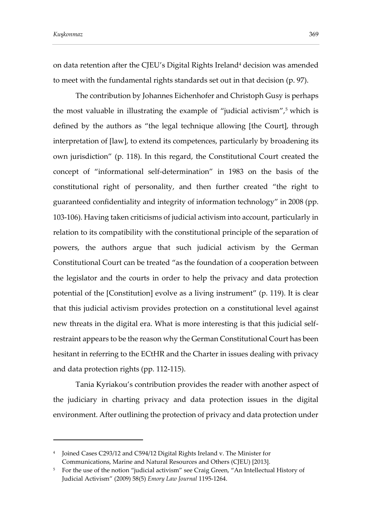*Ku*ş*konmaz* 369

-

on data retention after the CJEU's Digital Rights Ireland<sup>4</sup> decision was amended to meet with the fundamental rights standards set out in that decision (p. 97).

The contribution by Johannes Eichenhofer and Christoph Gusy is perhaps the most valuable in illustrating the example of "judicial activism",<sup>5</sup> which is defined by the authors as "the legal technique allowing [the Court], through interpretation of [law], to extend its competences, particularly by broadening its own jurisdiction" (p. 118). In this regard, the Constitutional Court created the concept of "informational self-determination" in 1983 on the basis of the constitutional right of personality, and then further created "the right to guaranteed confidentiality and integrity of information technology" in 2008 (pp. 103-106). Having taken criticisms of judicial activism into account, particularly in relation to its compatibility with the constitutional principle of the separation of powers, the authors argue that such judicial activism by the German Constitutional Court can be treated "as the foundation of a cooperation between the legislator and the courts in order to help the privacy and data protection potential of the [Constitution] evolve as a living instrument" (p. 119). It is clear that this judicial activism provides protection on a constitutional level against new threats in the digital era. What is more interesting is that this judicial selfrestraint appears to be the reason why the German Constitutional Court has been hesitant in referring to the ECtHR and the Charter in issues dealing with privacy and data protection rights (pp. 112-115).

Tania Kyriakou's contribution provides the reader with another aspect of the judiciary in charting privacy and data protection issues in the digital environment. After outlining the protection of privacy and data protection under

<sup>4</sup> Joined Cases C293/12 and C594/12 Digital Rights Ireland v. The Minister for Communications, Marine and Natural Resources and Others (CJEU) [2013].

<sup>&</sup>lt;sup>5</sup> For the use of the notion "judicial activism" see Craig Green, "An Intellectual History of Judicial Activism" (2009) 58(5) *Emory Law Journal* 1195-1264.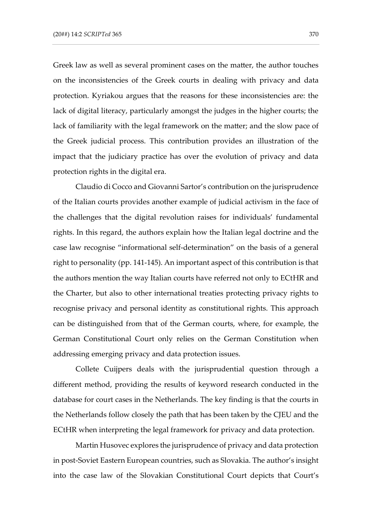Greek law as well as several prominent cases on the matter, the author touches on the inconsistencies of the Greek courts in dealing with privacy and data protection. Kyriakou argues that the reasons for these inconsistencies are: the lack of digital literacy, particularly amongst the judges in the higher courts; the lack of familiarity with the legal framework on the matter; and the slow pace of the Greek judicial process. This contribution provides an illustration of the impact that the judiciary practice has over the evolution of privacy and data protection rights in the digital era.

Claudio di Cocco and Giovanni Sartor's contribution on the jurisprudence of the Italian courts provides another example of judicial activism in the face of the challenges that the digital revolution raises for individuals' fundamental rights. In this regard, the authors explain how the Italian legal doctrine and the case law recognise "informational self-determination" on the basis of a general right to personality (pp. 141-145). An important aspect of this contribution is that the authors mention the way Italian courts have referred not only to ECtHR and the Charter, but also to other international treaties protecting privacy rights to recognise privacy and personal identity as constitutional rights. This approach can be distinguished from that of the German courts, where, for example, the German Constitutional Court only relies on the German Constitution when addressing emerging privacy and data protection issues.

Collete Cuijpers deals with the jurisprudential question through a different method, providing the results of keyword research conducted in the database for court cases in the Netherlands. The key finding is that the courts in the Netherlands follow closely the path that has been taken by the CJEU and the ECtHR when interpreting the legal framework for privacy and data protection.

Martin Husovec explores the jurisprudence of privacy and data protection in post-Soviet Eastern European countries, such as Slovakia. The author's insight into the case law of the Slovakian Constitutional Court depicts that Court's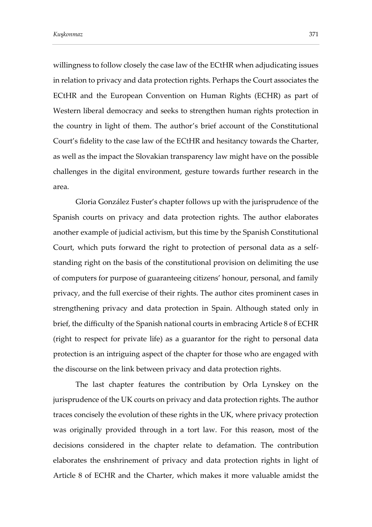willingness to follow closely the case law of the ECtHR when adjudicating issues in relation to privacy and data protection rights. Perhaps the Court associates the ECtHR and the European Convention on Human Rights (ECHR) as part of Western liberal democracy and seeks to strengthen human rights protection in the country in light of them. The author's brief account of the Constitutional Court's fidelity to the case law of the ECtHR and hesitancy towards the Charter, as well as the impact the Slovakian transparency law might have on the possible challenges in the digital environment, gesture towards further research in the area.

Gloria González Fuster's chapter follows up with the jurisprudence of the Spanish courts on privacy and data protection rights. The author elaborates another example of judicial activism, but this time by the Spanish Constitutional Court, which puts forward the right to protection of personal data as a selfstanding right on the basis of the constitutional provision on delimiting the use of computers for purpose of guaranteeing citizens' honour, personal, and family privacy, and the full exercise of their rights. The author cites prominent cases in strengthening privacy and data protection in Spain. Although stated only in brief, the difficulty of the Spanish national courts in embracing Article 8 of ECHR (right to respect for private life) as a guarantor for the right to personal data protection is an intriguing aspect of the chapter for those who are engaged with the discourse on the link between privacy and data protection rights.

The last chapter features the contribution by Orla Lynskey on the jurisprudence of the UK courts on privacy and data protection rights. The author traces concisely the evolution of these rights in the UK, where privacy protection was originally provided through in a tort law. For this reason, most of the decisions considered in the chapter relate to defamation. The contribution elaborates the enshrinement of privacy and data protection rights in light of Article 8 of ECHR and the Charter, which makes it more valuable amidst the